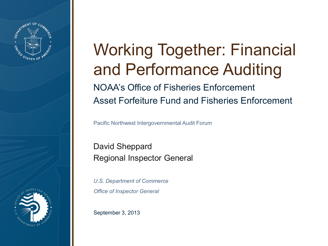

## Working Together: Financial and Performance Auditing NOAA's Office of Fisheries Enforcement Asset Forfeiture Fund and Fisheries Enforcement

Pacific Northwest Intergovernmental Audit Forum

David Sheppard Regional Inspector General

*U.S. Department of Commerce Office of Inspector General*

September 3, 2013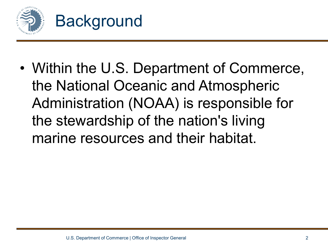

• Within the U.S. Department of Commerce, the National Oceanic and Atmospheric Administration (NOAA) is responsible for the stewardship of the nation's living marine resources and their habitat.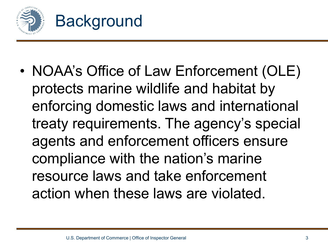

• NOAA's Office of Law Enforcement (OLE) protects marine wildlife and habitat by enforcing domestic laws and international treaty requirements. The agency's special agents and enforcement officers ensure compliance with the nation's marine resource laws and take enforcement action when these laws are violated.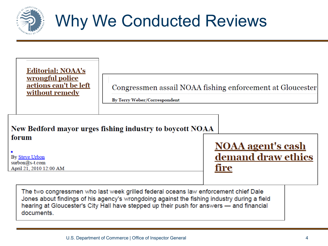

## Why We Conducted Reviews

| <b>Editorial: NOAA's</b><br>wrongful police<br>actions can't be left<br>without remedy | By Terry Weber/Correspondent                             | Congressmen assail NOAA fishing enforcement at Gloucester |
|----------------------------------------------------------------------------------------|----------------------------------------------------------|-----------------------------------------------------------|
| forum<br>By Steve Urbon<br>surbon@s-t.com<br>April 21, 2010 12:00 AM                   | New Bedford mayor urges fishing industry to boycott NOAA | <b>NOAA</b> agent's cash<br>demand draw ethics<br>fire    |

The two congressmen who last week grilled federal oceans law enforcement chief Dale Jones about findings of his agency's wrongdoing against the fishing industry during a field hearing at Gloucester's City Hall have stepped up their push for answers - and financial documents.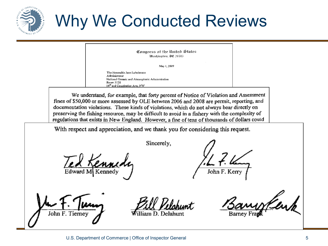

## Why We Conducted Reviews

Congress of the United States Washinaton, DC 20515

May 1, 2009

The Honorable Jane Lubchenco Administrator National Oceanic and Atmospheric Administration Room 5128 14<sup>th</sup> and Constitution Ave, NW

We understand, for example, that forty percent of Notice of Violation and Assessment fines of \$50,000 or more assessed by OLE between 2006 and 2008 are permit, reporting, and documentation violations. These kinds of violations, which do not always bear directly on preserving the fishing resource, may be difficult to avoid in a fishery with the complexity of regulations that exists in New England. However, a fine of tens of thousands of dollars could

With respect and appreciation, and we thank you for considering this request.

Sincerely,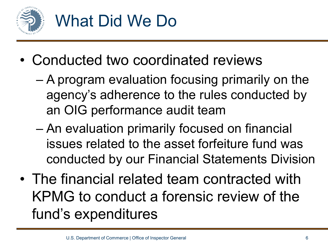

- Conducted two coordinated reviews
	- A program evaluation focusing primarily on the agency's adherence to the rules conducted by an OIG performance audit team
	- An evaluation primarily focused on financial issues related to the asset forfeiture fund was conducted by our Financial Statements Division
- The financial related team contracted with KPMG to conduct a forensic review of the fund's expenditures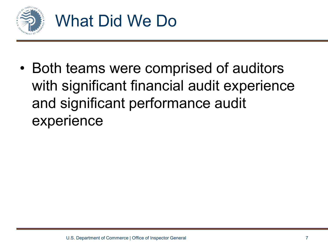

• Both teams were comprised of auditors with significant financial audit experience and significant performance audit experience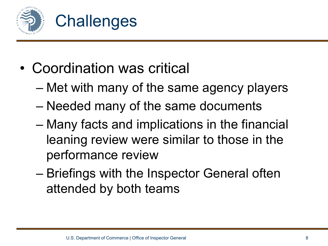

- Coordination was critical
	- Met with many of the same agency players
	- Needed many of the same documents
	- Many facts and implications in the financial leaning review were similar to those in the performance review
	- Briefings with the Inspector General often attended by both teams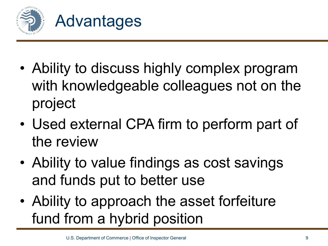

- Ability to discuss highly complex program with knowledgeable colleagues not on the project
- Used external CPA firm to perform part of the review
- Ability to value findings as cost savings and funds put to better use
- Ability to approach the asset forfeiture fund from a hybrid position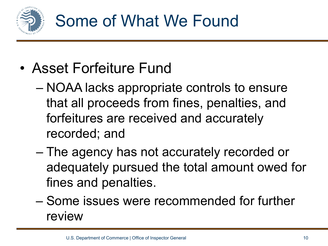

- Asset Forfeiture Fund
	- NOAA lacks appropriate controls to ensure that all proceeds from fines, penalties, and forfeitures are received and accurately recorded; and
	- The agency has not accurately recorded or adequately pursued the total amount owed for fines and penalties.
	- Some issues were recommended for further review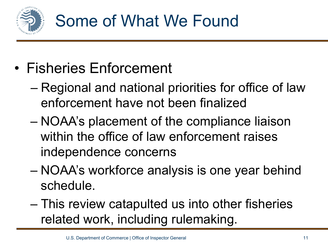

- Fisheries Enforcement
	- Regional and national priorities for office of law enforcement have not been finalized
	- NOAA's placement of the compliance liaison within the office of law enforcement raises independence concerns
	- NOAA's workforce analysis is one year behind schedule.
	- This review catapulted us into other fisheries related work, including rulemaking.